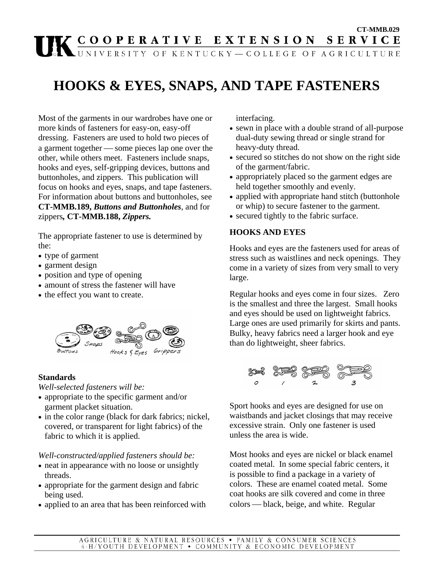# **CT-MMB.029**<br> **CT-MMB.029**<br>
CT-MMB.029<br>
CT-MMB.029<br>
CT-MMB.029<br>
CT-MMB.029

# **HOOKS & EYES, SNAPS, AND TAPE FASTENERS**

Most of the garments in our wardrobes have one or more kinds of fasteners for easy-on, easy-off dressing. Fasteners are used to hold two pieces of a garment together — some pieces lap one over the other, while others meet. Fasteners include snaps, hooks and eyes, self-gripping devices, buttons and buttonholes, and zippers. This publication will focus on hooks and eyes, snaps, and tape fasteners. For information about buttons and buttonholes, see **CT-MMB.189,** *Buttons and Buttonholes*, and for zippers*,* **CT-MMB.188,** *Zippers.* 

The appropriate fastener to use is determined by the:

- type of garment
- garment design
- position and type of opening
- amount of stress the fastener will have
- the effect you want to create.



### **Standards**

*Well-selected fasteners will be:*

- appropriate to the specific garment and/or garment placket situation.
- in the color range (black for dark fabrics; nickel, covered, or transparent for light fabrics) of the fabric to which it is applied.

### *Well-constructed/applied fasteners should be:*

- neat in appearance with no loose or unsightly threads.
- appropriate for the garment design and fabric being used.
- applied to an area that has been reinforced with

interfacing.

- sewn in place with a double strand of all-purpose dual-duty sewing thread or single strand for heavy-duty thread.
- secured so stitches do not show on the right side of the garment/fabric.
- appropriately placed so the garment edges are held together smoothly and evenly.
- applied with appropriate hand stitch (buttonhole or whip) to secure fastener to the garment.
- secured tightly to the fabric surface.

# **HOOKS AND EYES**

Hooks and eyes are the fasteners used for areas of stress such as waistlines and neck openings. They come in a variety of sizes from very small to very large.

Regular hooks and eyes come in four sizes. Zero is the smallest and three the largest. Small hooks and eyes should be used on lightweight fabrics. Large ones are used primarily for skirts and pants. Bulky, heavy fabrics need a larger hook and eye than do lightweight, sheer fabrics.



Sport hooks and eyes are designed for use on waistbands and jacket closings that may receive excessive strain. Only one fastener is used unless the area is wide.

Most hooks and eyes are nickel or black enamel coated metal. In some special fabric centers, it is possible to find a package in a variety of colors. These are enamel coated metal. Some coat hooks are silk covered and come in three colors — black, beige, and white. Regular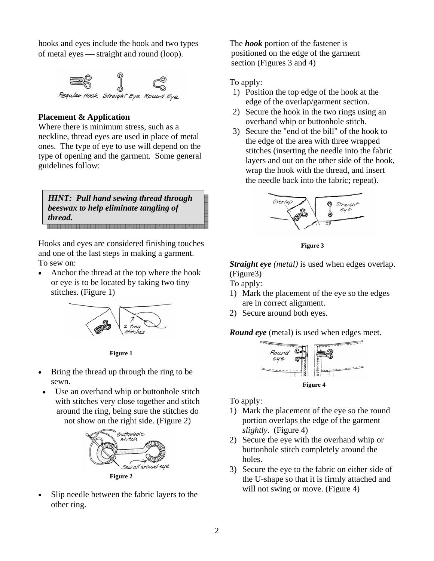hooks and eyes include the hook and two types of metal eyes — straight and round (loop).



#### **Placement & Application**

Where there is minimum stress, such as a neckline, thread eyes are used in place of metal ones. The type of eye to use will depend on the type of opening and the garment. Some general guidelines follow:

*HINT: Pull hand sewing thread through beeswax to help eliminate tangling of thread.* 

Hooks and eyes are considered finishing touches and one of the last steps in making a garment. To sew on:

• Anchor the thread at the top where the hook or eye is to be located by taking two tiny stitches. (Figure 1)



**Figure 1**

- Bring the thread up through the ring to be sewn.
- Use an overhand whip or buttonhole stitch with stitches very close together and stitch around the ring, being sure the stitches do not show on the right side. (Figure 2)



Slip needle between the fabric layers to the other ring.

The *hook* portion of the fastener is positioned on the edge of the garment section (Figures 3 and 4)

To apply:

- 1) Position the top edge of the hook at the edge of the overlap/garment section.
- 2) Secure the hook in the two rings using an overhand whip or buttonhole stitch.
- 3) Secure the "end of the bill" of the hook to the edge of the area with three wrapped stitches (inserting the needle into the fabric layers and out on the other side of the hook, wrap the hook with the thread, and insert the needle back into the fabric; repeat).



**Figure 3** 

*Straight eye (metal)* is used when edges overlap. (Figure3)

To apply:

- 1) Mark the placement of the eye so the edges are in correct alignment.
- 2) Secure around both eyes.

*Round eye* (metal) is used when edges meet.



To apply:

- 1) Mark the placement of the eye so the round portion overlaps the edge of the garment *slightly*. (Figure 4)
- 2) Secure the eye with the overhand whip or buttonhole stitch completely around the holes.
- 3) Secure the eye to the fabric on either side of the U-shape so that it is firmly attached and will not swing or move. (Figure 4)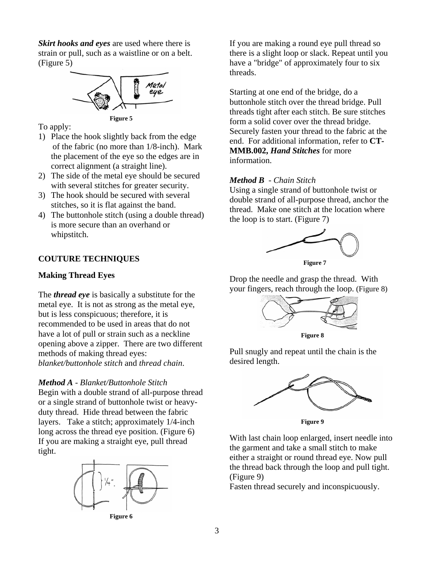*Skirt hooks and eyes* are used where there is strain or pull, such as a waistline or on a belt. (Figure 5)



To apply:

- 1) Place the hook slightly back from the edge of the fabric (no more than 1/8-inch). Mark the placement of the eye so the edges are in correct alignment (a straight line).
- 2) The side of the metal eye should be secured with several stitches for greater security.
- 3) The hook should be secured with several stitches, so it is flat against the band.
- 4) The buttonhole stitch (using a double thread) is more secure than an overhand or whipstitch.

### **COUTURE TECHNIQUES**

#### **Making Thread Eyes**

The *thread eye* is basically a substitute for the metal eye. It is not as strong as the metal eye, but is less conspicuous; therefore, it is recommended to be used in areas that do not have a lot of pull or strain such as a neckline opening above a zipper. There are two different methods of making thread eyes: *blanket/buttonhole stitch* and *thread chain*.

*Method A - Blanket/Buttonhole Stitch*

Begin with a double strand of all-purpose thread or a single strand of buttonhole twist or heavyduty thread. Hide thread between the fabric layers. Take a stitch; approximately 1/4-inch long across the thread eye position. (Figure 6) If you are making a straight eye, pull thread tight.



**Figure 6** 

If you are making a round eye pull thread so there is a slight loop or slack. Repeat until you have a "bridge" of approximately four to six threads.

Starting at one end of the bridge, do a buttonhole stitch over the thread bridge. Pull threads tight after each stitch. Be sure stitches form a solid cover over the thread bridge. Securely fasten your thread to the fabric at the end. For additional information, refer to **CT-MMB.002,** *Hand Stitches* for more information.

#### *Method B - Chain Stitch*

Using a single strand of buttonhole twist or double strand of all-purpose thread, anchor the thread. Make one stitch at the location where the loop is to start. (Figure 7)



**Figure 7** 

Drop the needle and grasp the thread. With your fingers, reach through the loop. (Figure 8)



Pull snugly and repeat until the chain is the desired length.



With last chain loop enlarged, insert needle into the garment and take a small stitch to make either a straight or round thread eye. Now pull the thread back through the loop and pull tight. (Figure 9)

Fasten thread securely and inconspicuously.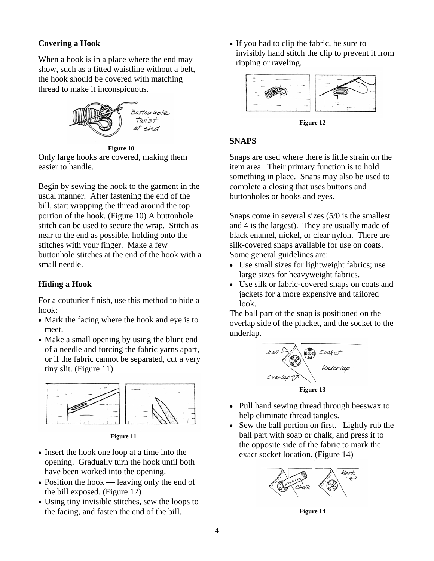# **Covering a Hook**

When a hook is in a place where the end may show, such as a fitted waistline without a belt, the hook should be covered with matching thread to make it inconspicuous.



**Figure 10** 

Only large hooks are covered, making them easier to handle.

Begin by sewing the hook to the garment in the usual manner. After fastening the end of the bill, start wrapping the thread around the top portion of the hook. (Figure 10) A buttonhole stitch can be used to secure the wrap. Stitch as near to the end as possible, holding onto the stitches with your finger. Make a few buttonhole stitches at the end of the hook with a small needle.

# **Hiding a Hook**

For a couturier finish, use this method to hide a hook:

- Mark the facing where the hook and eye is to meet.
- Make a small opening by using the blunt end of a needle and forcing the fabric yarns apart, or if the fabric cannot be separated, cut a very tiny slit. (Figure 11)



**Figure 11** 

- Insert the hook one loop at a time into the opening. Gradually turn the hook until both have been worked into the opening.
- Position the hook  $-$  leaving only the end of the bill exposed. (Figure 12)
- Using tiny invisible stitches, sew the loops to the facing, and fasten the end of the bill.

• If you had to clip the fabric, be sure to invisibly hand stitch the clip to prevent it from ripping or raveling.



**Figure 12** 

### **SNAPS**

Snaps are used where there is little strain on the item area. Their primary function is to hold something in place. Snaps may also be used to complete a closing that uses buttons and buttonholes or hooks and eyes.

Snaps come in several sizes (5/0 is the smallest and 4 is the largest). They are usually made of black enamel, nickel, or clear nylon. There are silk-covered snaps available for use on coats. Some general guidelines are:

- Use small sizes for lightweight fabrics; use large sizes for heavyweight fabrics.
- Use silk or fabric-covered snaps on coats and jackets for a more expensive and tailored look.

The ball part of the snap is positioned on the overlap side of the placket, and the socket to the underlap.



- Pull hand sewing thread through beeswax to help eliminate thread tangles.
- Sew the ball portion on first. Lightly rub the ball part with soap or chalk, and press it to the opposite side of the fabric to mark the exact socket location. (Figure 14)



**Figure 14**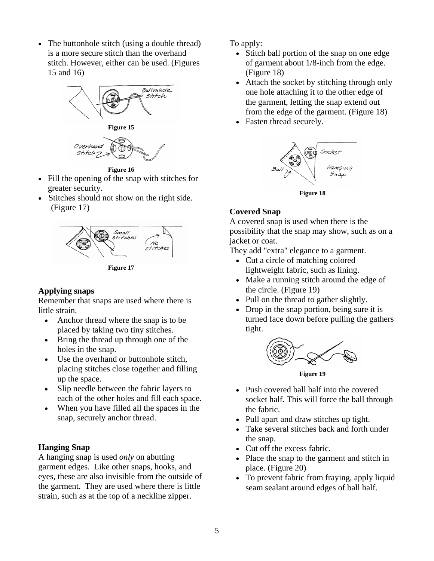• The buttonhole stitch (using a double thread) is a more secure stitch than the overhand stitch. However, either can be used. (Figures 15 and 16)





**Figure 16**

- Fill the opening of the snap with stitches for greater security.
- Stitches should not show on the right side. (Figure 17)



**Figure 17** 

### **Applying snaps**

Remember that snaps are used where there is little strain.

- Anchor thread where the snap is to be placed by taking two tiny stitches.
- Bring the thread up through one of the holes in the snap.
- Use the overhand or buttonhole stitch, placing stitches close together and filling up the space.
- Slip needle between the fabric layers to each of the other holes and fill each space.
- When you have filled all the spaces in the snap, securely anchor thread.

### **Hanging Snap**

A hanging snap is used *only* on abutting garment edges. Like other snaps, hooks, and eyes, these are also invisible from the outside of the garment. They are used where there is little strain, such as at the top of a neckline zipper.

To apply:

- Stitch ball portion of the snap on one edge of garment about 1/8-inch from the edge. (Figure 18)
- Attach the socket by stitching through only one hole attaching it to the other edge of the garment, letting the snap extend out from the edge of the garment. (Figure 18)
- Fasten thread securely.



**Figure 18** 

## **Covered Snap**

A covered snap is used when there is the possibility that the snap may show, such as on a jacket or coat.

They add "extra" elegance to a garment.

- Cut a circle of matching colored lightweight fabric, such as lining.
- Make a running stitch around the edge of the circle. (Figure 19)
- Pull on the thread to gather slightly.
- Drop in the snap portion, being sure it is turned face down before pulling the gathers tight.



**Figure 19** 

- Push covered ball half into the covered socket half. This will force the ball through the fabric.
- Pull apart and draw stitches up tight.
- Take several stitches back and forth under the snap.
- Cut off the excess fabric.
- Place the snap to the garment and stitch in place. (Figure 20)
- To prevent fabric from fraying, apply liquid seam sealant around edges of ball half.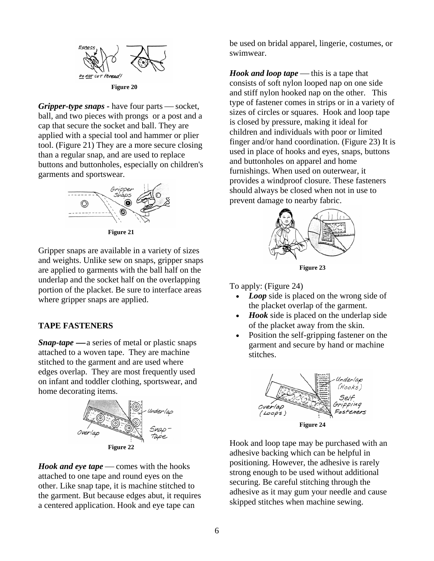

*Gripper-type snaps* - have four parts — socket, ball, and two pieces with prongs or a post and a cap that secure the socket and ball. They are applied with a special tool and hammer or plier tool. (Figure 21) They are a more secure closing than a regular snap, and are used to replace buttons and buttonholes, especially on children's garments and sportswear.



**Figure 21** 

Gripper snaps are available in a variety of sizes and weights. Unlike sew on snaps, gripper snaps are applied to garments with the ball half on the underlap and the socket half on the overlapping portion of the placket. Be sure to interface areas where gripper snaps are applied.

#### **TAPE FASTENERS**

*Snap-tape* — a series of metal or plastic snaps attached to a woven tape. They are machine stitched to the garment and are used where edges overlap. They are most frequently used on infant and toddler clothing, sportswear, and home decorating items.



*Hook and eye tape* — comes with the hooks attached to one tape and round eyes on the other. Like snap tape, it is machine stitched to the garment. But because edges abut, it requires a centered application. Hook and eye tape can

be used on bridal apparel, lingerie, costumes, or swimwear.

*Hook and loop tape* — this is a tape that consists of soft nylon looped nap on one side and stiff nylon hooked nap on the other. This type of fastener comes in strips or in a variety of sizes of circles or squares. Hook and loop tape is closed by pressure, making it ideal for children and individuals with poor or limited finger and/or hand coordination. (Figure 23) It is used in place of hooks and eyes, snaps, buttons and buttonholes on apparel and home furnishings. When used on outerwear, it provides a windproof closure. These fasteners should always be closed when not in use to prevent damage to nearby fabric.



**Figure 23** 

To apply: (Figure 24)

- *Loop* side is placed on the wrong side of the placket overlap of the garment.
- *Hook* side is placed on the underlap side of the placket away from the skin.
- Position the self-gripping fastener on the garment and secure by hand or machine stitches.



Hook and loop tape may be purchased with an adhesive backing which can be helpful in positioning. However, the adhesive is rarely strong enough to be used without additional securing. Be careful stitching through the adhesive as it may gum your needle and cause skipped stitches when machine sewing.